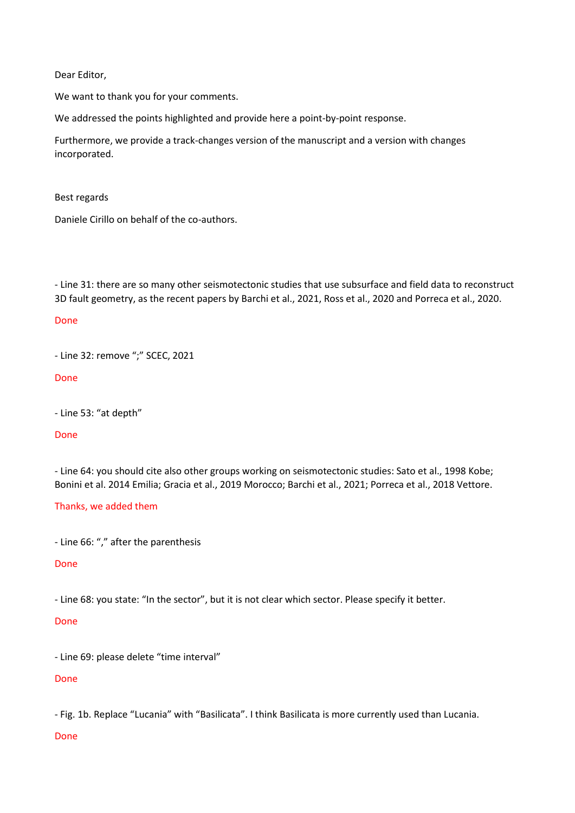Dear Editor,

We want to thank you for your comments.

We addressed the points highlighted and provide here a point-by-point response.

Furthermore, we provide a track-changes version of the manuscript and a version with changes incorporated.

Best regards

Daniele Cirillo on behalf of the co-authors.

- Line 31: there are so many other seismotectonic studies that use subsurface and field data to reconstruct 3D fault geometry, as the recent papers by Barchi et al., 2021, Ross et al., 2020 and Porreca et al., 2020.

### Done

- Line 32: remove ";" SCEC, 2021

#### Done

- Line 53: "at depth"

#### Done

- Line 64: you should cite also other groups working on seismotectonic studies: Sato et al., 1998 Kobe; Bonini et al. 2014 Emilia; Gracia et al., 2019 Morocco; Barchi et al., 2021; Porreca et al., 2018 Vettore.

#### Thanks, we added them

- Line 66: "," after the parenthesis

## Done

- Line 68: you state: "In the sector", but it is not clear which sector. Please specify it better.

#### Done

- Line 69: please delete "time interval"

## Done

- Fig. 1b. Replace "Lucania" with "Basilicata". I think Basilicata is more currently used than Lucania.

## Done